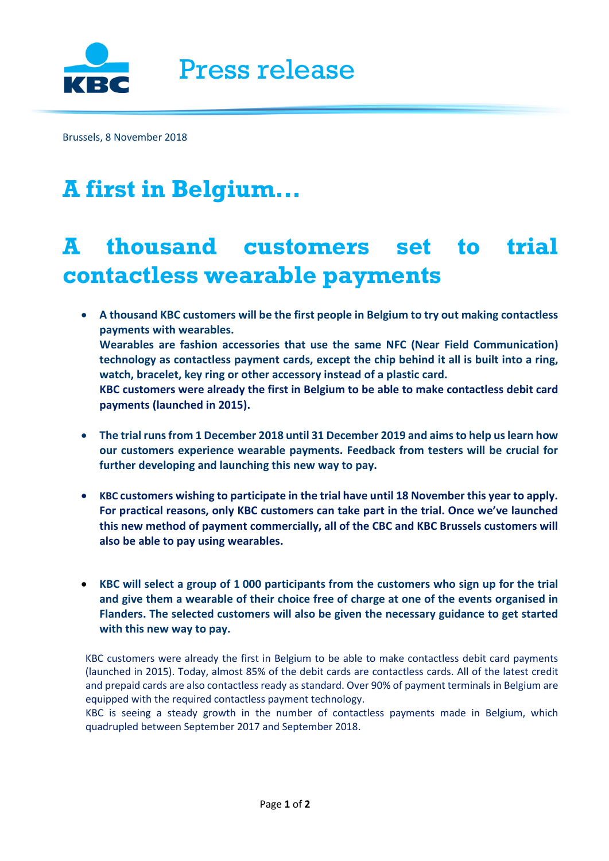

Brussels, 8 November 2018

## **A first in Belgium...**

## **A thousand customers set to trial contactless wearable payments**

- **A thousand KBC customers will be the first people in Belgium to try out making contactless payments with wearables. Wearables are fashion accessories that use the same NFC (Near Field Communication) technology as contactless payment cards, except the chip behind it all is built into a ring, watch, bracelet, key ring or other accessory instead of a plastic card. KBC customers were already the first in Belgium to be able to make contactless debit card payments (launched in 2015).**
- **The trial runs from 1 December 2018 until 31 December 2019 and aims to help uslearn how our customers experience wearable payments. Feedback from testers will be crucial for further developing and launching this new way to pay.**
- **KBC customers wishing to participate in the trial have until 18 November this year to apply. For practical reasons, only KBC customers can take part in the trial. Once we've launched this new method of payment commercially, all of the CBC and KBC Brussels customers will also be able to pay using wearables.**
- **KBC will select a group of 1 000 participants from the customers who sign up for the trial and give them a wearable of their choice free of charge at one of the events organised in Flanders. The selected customers will also be given the necessary guidance to get started with this new way to pay.**

KBC customers were already the first in Belgium to be able to make contactless debit card payments (launched in 2015). Today, almost 85% of the debit cards are contactless cards. All of the latest credit and prepaid cards are also contactless ready as standard. Over 90% of payment terminals in Belgium are equipped with the required contactless payment technology.

KBC is seeing a steady growth in the number of contactless payments made in Belgium, which quadrupled between September 2017 and September 2018.